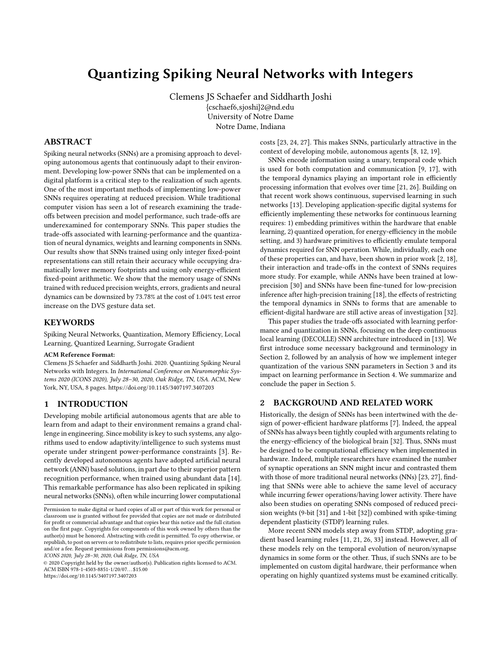# Quantizing Spiking Neural Networks with Integers

Clemens JS Schaefer and Siddharth Joshi {cschaef6,sjoshi}2@nd.edu University of Notre Dame Notre Dame, Indiana

#### ABSTRACT

Spiking neural networks (SNNs) are a promising approach to developing autonomous agents that continuously adapt to their environment. Developing low-power SNNs that can be implemented on a digital platform is a critical step to the realization of such agents. One of the most important methods of implementing low-power SNNs requires operating at reduced precision. While traditional computer vision has seen a lot of research examining the tradeoffs between precision and model performance, such trade-offs are underexamined for contemporary SNNs. This paper studies the trade-offs associated with learning-performance and the quantization of neural dynamics, weights and learning components in SNNs. Our results show that SNNs trained using only integer fixed-point representations can still retain their accuracy while occupying dramatically lower memory footprints and using only energy-efficient fixed-point arithmetic. We show that the memory usage of SNNs trained with reduced precision weights, errors, gradients and neural dynamics can be downsized by 73.78% at the cost of 1.04% test error increase on the DVS gesture data set.

### **KEYWORDS**

Spiking Neural Networks, Quantization, Memory Efficiency, Local Learning, Quantized Learning, Surrogate Gradient

#### ACM Reference Format:

Clemens JS Schaefer and Siddharth Joshi. 2020. Quantizing Spiking Neural Networks with Integers. In International Conference on Neuromorphic Systems 2020 (ICONS 2020), July 28–30, 2020, Oak Ridge, TN, USA. ACM, New York, NY, USA, [8](#page-7-0) pages.<https://doi.org/10.1145/3407197.3407203>

## 1 INTRODUCTION

Developing mobile artificial autonomous agents that are able to learn from and adapt to their environment remains a grand challenge in engineering. Since mobility is key to such systems, any algorithms used to endow adaptivity/intelligence to such systems must operate under stringent power-performance constraints [\[3\]](#page-7-1). Recently developed autonomous agents have adopted artificial neural network (ANN) based solutions, in part due to their superior pattern recognition performance, when trained using abundant data [\[14\]](#page-7-2). This remarkable performance has also been replicated in spiking neural networks (SNNs), often while incurring lower computational

ICONS 2020, July 28–30, 2020, Oak Ridge, TN, USA

© 2020 Copyright held by the owner/author(s). Publication rights licensed to ACM. ACM ISBN 978-1-4503-8851-1/20/07. . . \$15.00 <https://doi.org/10.1145/3407197.3407203>

costs [\[23,](#page-7-3) [24,](#page-7-4) [27\]](#page-7-5). This makes SNNs, particularly attractive in the context of developing mobile, autonomous agents [\[8,](#page-7-6) [12,](#page-7-7) [19\]](#page-7-8).

SNNs encode information using a unary, temporal code which is used for both computation and communication [\[9,](#page-7-9) [17\]](#page-7-10), with the temporal dynamics playing an important role in efficiently processing information that evolves over time [\[21,](#page-7-11) [26\]](#page-7-12). Building on that recent work shows continuous, supervised learning in such networks [\[13\]](#page-7-13). Developing application-specific digital systems for efficiently implementing these networks for continuous learning requires: 1) embedding primitives within the hardware that enable learning, 2) quantized operation, for energy-efficiency in the mobile setting, and 3) hardware primitives to efficiently emulate temporal dynamics required for SNN operation. While, individually, each one of these properties can, and have, been shown in prior work [\[2,](#page-7-14) [18\]](#page-7-15), their interaction and trade-offs in the context of SNNs requires more study. For example, while ANNs have been trained at lowprecision [\[30\]](#page-7-16) and SNNs have been fine-tuned for low-precision inference after high-precision training [\[18\]](#page-7-15), the effects of restricting the temporal dynamics in SNNs to forms that are amenable to efficient-digital hardware are still active areas of investigation [\[32\]](#page-7-17).

This paper studies the trade-offs associated with learning performance and quantization in SNNs, focusing on the deep continuous local learning (DECOLLE) SNN architecture introduced in [\[13\]](#page-7-13). We first introduce some necessary background and terminology in Section [2,](#page-0-0) followed by an analysis of how we implement integer quantization of the various SNN parameters in Section [3](#page-1-0) and its impact on learning performance in Section [4.](#page-4-0) We summarize and conclude the paper in Section [5.](#page-6-0)

#### <span id="page-0-0"></span>2 BACKGROUND AND RELATED WORK

Historically, the design of SNNs has been intertwined with the design of power-efficient hardware platforms [\[7\]](#page-7-18). Indeed, the appeal of SNNs has always been tightly coupled with arguments relating to the energy-efficiency of the biological brain [\[32\]](#page-7-17). Thus, SNNs must be designed to be computational efficiency when implemented in hardware. Indeed, multiple researchers have examined the number of synaptic operations an SNN might incur and contrasted them with those of more traditional neural networks (NNs) [\[23,](#page-7-3) [27\]](#page-7-5), finding that SNNs were able to achieve the same level of accuracy while incurring fewer operations/having lower activity. There have also been studies on operating SNNs composed of reduced precision weights (9-bit [\[31\]](#page-7-19) and 1-bit [\[32\]](#page-7-17)) combined with spike-timing dependent plasticity (STDP) learning rules.

More recent SNN models step away from STDP, adopting gradient based learning rules [\[11,](#page-7-20) [21,](#page-7-11) [26,](#page-7-12) [33\]](#page-7-21) instead. However, all of these models rely on the temporal evolution of neuron/synapse dynamics in some form or the other. Thus, if such SNNs are to be implemented on custom digital hardware, their performance when operating on highly quantized systems must be examined critically.

Permission to make digital or hard copies of all or part of this work for personal or classroom use is granted without fee provided that copies are not made or distributed for profit or commercial advantage and that copies bear this notice and the full citation on the first page. Copyrights for components of this work owned by others than the author(s) must be honored. Abstracting with credit is permitted. To copy otherwise, or republish, to post on servers or to redistribute to lists, requires prior specific permission and/or a fee. Request permissions from permissions@acm.org.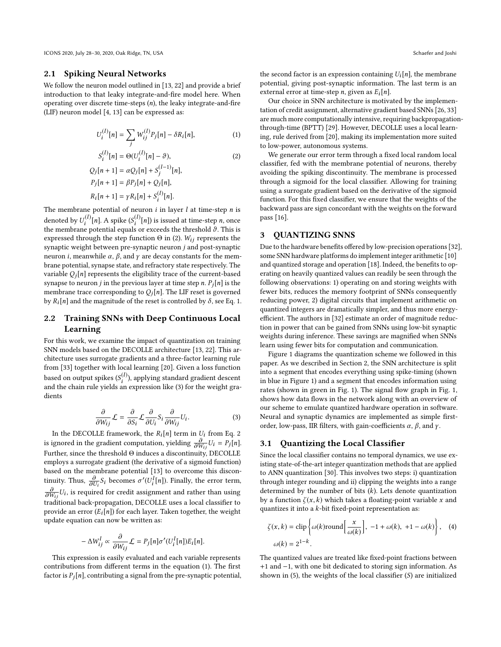ICONS 2020, July 28-30, 2020, Oak Ridge, TN, USA Schaefer and Joshi

#### 2.1 Spiking Neural Networks

We follow the neuron model outlined in [\[13,](#page-7-13) [22\]](#page-7-22) and provide a brief introduction to that leaky integrate-and-fire model here. When operating over discrete time-steps  $(n)$ , the leaky integrate-and-fire (LIF) neuron model [\[4,](#page-7-23) [13\]](#page-7-13) can be expressed as:

$$
U_i^{(l)}[n] = \sum_j W_{ij}^{(l)} P_j[n] - \delta R_i[n],\tag{1}
$$

$$
S_i^{(l)}[n] = \Theta(U_i^{(l)}[n] - \vartheta),
$$
  
\n
$$
Q_j[n+1] = \alpha Q_j[n] + S_j^{(l-1)}[n],
$$
  
\n
$$
P_j[n+1] = \beta P_j[n] + Q_j[n],
$$
  
\n
$$
R_i[n+1] = \gamma R_i[n] + S_i^{(l)}[n].
$$
\n(2)

The membrane potential of neuron *i* in layer *l* at time-step *n* is denoted by  $U_l^{(l)}[n]$ . A spike  $(S_l^{(l)}[n])$  is issued at time-step n, once<br>the membrane potential equals or exceeds the threshold  $\theta$ . This is the membrane potential equals or exceeds the threshold  $\vartheta$ . This is<br>expressed through the step function  $\Theta$  in (2)  $W_1$  represents the expressed through the step function  $\Theta$  in [\(2\)](#page-1-1). W<sub>ij</sub> represents the synaptic weight between pre-synaptic neuron j and post-synaptic neuron *i*, meanwhile  $\alpha$ ,  $\beta$ , and  $\gamma$  are decay constants for the membrane potential, synapse state, and refractory state respectively. The variable  $Q_i[n]$  represents the eligibility trace of the current-based synapse to neuron *j* in the previous layer at time step *n*.  $P_j[n]$  is the membrane trace corresponding to  $Q_i[n]$ . The LIF reset is governed by  $R_i[n]$  and the magnitude of the reset is controlled by  $\delta$ , see Eq. [1.](#page-1-2)

## 2.2 Training SNNs with Deep Continuous Local Learning

For this work, we examine the impact of quantization on training SNN models based on the DECOLLE architecture [\[13,](#page-7-13) [22\]](#page-7-22). This architecture uses surrogate gradients and a three-factor learning rule from [\[33\]](#page-7-21) together with local learning [\[20\]](#page-7-24). Given a loss function based on output spikes ( $S_i^{(l)}$ <br>and the chain rule vields an ), applying standard gradient descent and the chain rule yields an expression like [\(3\)](#page-1-3) for the weight gradients

<span id="page-1-3"></span>
$$
\frac{\partial}{\partial W_{ij}}\mathcal{L} = \frac{\partial}{\partial S_i}\mathcal{L}\frac{\partial}{\partial U_i}S_i\frac{\partial}{\partial W_{ij}}U_i.
$$
 (3)

In the DECOLLE framework, the  $R_i[n]$  term in  $U_i$  from Eq. [2](#page-1-1)<br>[groved in the gradient computation violding  $\frac{\partial}{\partial} U_i = P_i[n]$ is ignored in the gradient computation, yielding  $\frac{\partial}{\partial W_{ij}}U_i = P_j[n].$ Further, since the threshold  $\Theta$  induces a discontinuity, DECOLLE<br>employs a surrogate gradient (the derivative of a sigmoid function) employs a surrogate gradient (the derivative of a sigmoid function) based on the membrane potential [\[13\]](#page-7-13) to overcome this discontinuity. Thus,  $\frac{\partial}{\partial U_i} S_i$  becomes  $\sigma'(U_i^I[n])$ . Finally, the error term,  $\frac{\partial}{\partial U_i} U_i$ , is required for credit assignment and rather than using  $\partial W_{ij}$  is the expansion case the mangement and classifier to traditional back-propagation, DECOLLE uses a local classifier to provide an error  $(E_i[n])$  for each layer. Taken together, the weight update equation can now be written as:

$$
-\Delta W_{ij}^l \propto \frac{\partial}{\partial W_{ij}} \mathcal{L} = P_j[n] \sigma'(U_i^l[n]) E_i[n].
$$

∂Wij This expression is easily evaluated and each variable represents contributions from different terms in the equation [\(1\)](#page-1-2). The first factor is  $P_i[n]$ , contributing a signal from the pre-synaptic potential, the second factor is an expression containing  $U_i[n]$ , the membrane potential, giving post-synaptic information. The last term is an external error at time-step *n*, given as  $E_i[n]$ .

Our choice in SNN architecture is motivated by the implementation of credit assignment, alternative gradient based SNNs [\[26,](#page-7-12) [33\]](#page-7-21) are much more computationally intensive, requiring backpropagationthrough-time (BPTT) [\[29\]](#page-7-25). However, DECOLLE uses a local learning, rule derived from [\[20\]](#page-7-24), making its implementation more suited to low-power, autonomous systems.

<span id="page-1-2"></span><span id="page-1-1"></span>We generate our error term through a fixed local random local classifier, fed with the membrane potential of neurons, thereby avoiding the spiking discontinuity. The membrane is processed through a sigmoid for the local classifier. Allowing for training using a surrogate gradient based on the derivative of the sigmoid function. For this fixed classifier, we ensure that the weights of the backward pass are sign concordant with the weights on the forward pass [\[16\]](#page-7-26).

## <span id="page-1-0"></span>3 QUANTIZING SNNS

Due to the hardware benefits offered by low-precision operations [\[32\]](#page-7-17), some SNN hardware platforms do implement integer arithmetic [\[10\]](#page-7-27) and quantized storage and operation [\[18\]](#page-7-15). Indeed, the benefits to operating on heavily quantized values can readily be seen through the following observations: 1) operating on and storing weights with fewer bits, reduces the memory footprint of SNNs consequently reducing power, 2) digital circuits that implement arithmetic on quantized integers are dramatically simpler, and thus more energyefficient. The authors in [\[32\]](#page-7-17) estimate an order of magnitude reduction in power that can be gained from SNNs using low-bit synaptic weights during inference. These savings are magnified when SNNs learn using fewer bits for computation and communication.

Figure [1](#page-2-0) diagrams the quantization scheme we followed in this paper. As we described in Section [2,](#page-0-0) the SNN architecture is split into a segment that encodes everything using spike-timing (shown in blue in Figure [1\)](#page-2-0) and a segment that encodes information using rates (shown in green in Fig. [1\)](#page-2-0). The signal flow graph in Fig. [1,](#page-2-0) shows how data flows in the network along with an overview of our scheme to emulate quantized hardware operation in software. Neural and synaptic dynamics are implemented as simple firstorder, low-pass, IIR filters, with gain-coefficients  $\alpha$ ,  $\beta$ , and  $\gamma$ .

#### 3.1 Quantizing the Local Classifier

Since the local classifier contains no temporal dynamics, we use existing state-of-the-art integer quantization methods that are applied to ANN quantization [\[30\]](#page-7-16). This involves two steps: i) quantization through integer rounding and ii) clipping the weights into a range determined by the number of bits  $(k)$ . Lets denote quantization by a function  $\zeta(x, k)$  which takes a floating-point variable x and quantizes it into a  $k$ -bit fixed-point representation as:

<span id="page-1-4"></span>
$$
\zeta(x,k) = \text{clip}\left\{\omega(k)\text{round}\left[\frac{x}{\omega(k)}\right], -1 + \omega(k), +1 - \omega(k)\right\}, \quad (4)
$$

$$
\omega(k) = 2^{1-k}.
$$

The quantized values are treated like fixed-point fractions between +1 and −1, with one bit dedicated to storing sign information. As shown in [\(5\)](#page-2-1), the weights of the local classifier (S) are initialized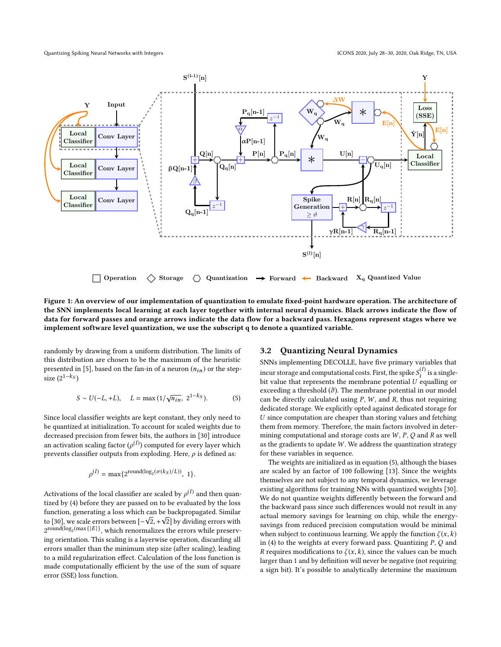<span id="page-2-0"></span>

Figure 1: An overview of our implementation of quantization to emulate fixed-point hardware operation. The architecture of the SNN implements local learning at each layer together with internal neural dynamics. Black arrows indicate the flow of data for forward passes and orange arrows indicate the data flow for a backward pass. Hexagons represent stages where we implement software level quantization, we use the subscript q to denote a quantized variable.

randomly by drawing from a uniform distribution. The limits of this distribution are chosen to be the maximum of the heuristic presented in [\[5\]](#page-7-28), based on the fan-in of a neuron  $(n_{in})$  or the stepsize  $(2^{1-k_S})$ 

<span id="page-2-1"></span>
$$
S \sim U(-L, +L), \quad L = \max(1/\sqrt{n_{in}}, \ 2^{1-k_S}). \tag{5}
$$

Since local classifier weights are kept constant, they only need to be quantized at initialization. To account for scaled weights due to decreased precision from fewer bits, the authors in [\[30\]](#page-7-16) introduce an activation scaling factor  $(\rho^{(l)})$  computed for every layer which<br>prevents classifier outputs from exploding. Here, a is defined as: prevents classifier outputs from exploding. Here,  $\rho$  is defined as:

<span id="page-2-2"></span>
$$
\rho^{(l)} = \max\{2^{\text{round}(\log_2(\sigma(k_S)/L))}, 1\}.
$$

Activations of the local classifier are scaled by  $\rho^{(l)}$  and then quantized by (A) before they are passed on to be evaluated by the loss tized by [\(4\)](#page-1-4) before they are passed on to be evaluated by the loss function, generating a loss which can be backpropagated. Similar tunction, generating a loss which can be backpropagated. Similar<br>to [\[30\]](#page-7-16), we scale errors between  $[-\sqrt{2}, +\sqrt{2}]$  by dividing errors with<br>2004 and (log<sub>2</sub> (max{|E|}, which renormalizes the errors while present  $2^{\mathsf{round}(\log_2(\max\{|E|\})},$  which renormalizes the errors while preserving orientation. This scaling is a layerwise operation, discarding all errors smaller than the minimum step size (after scaling), leading to a mild regularization effect. Calculation of the loss function is made computationally efficient by the use of the sum of square error (SSE) loss function.

#### 3.2 Quantizing Neural Dynamics

SNNs implementing DECOLLE, have five primary variables that incur storage and computational costs. First, the spike  $S_i^{(l)}$  is a single-<br>bit value that represents the membrane potential  $U$  equalling or bit value that represents the membrane potential  $U$  equalling or exceeding a threshold  $(\theta)$ . The membrane potential in our model exceeding a threshold  $(\vartheta)$ . The membrane potential in our model can be directly calculated using  $P$ ,  $W$ , and  $R$ , thus not requiring dedicated storage. We explicitly opted against dedicated storage for U since computation are cheaper than storing values and fetching them from memory. Therefore, the main factors involved in determining computational and storage costs are  $W$ ,  $P$ ,  $Q$  and  $R$  as well as the gradients to update  $W$ . We address the quantization strategy for these variables in sequence.

The weights are initialized as in equation [\(5\)](#page-2-1), although the biases are scaled by an factor of 100 following [\[13\]](#page-7-13). Since the weights themselves are not subject to any temporal dynamics, we leverage existing algorithms for training NNs with quantized weights [\[30\]](#page-7-16). We do not quantize weights differently between the forward and the backward pass since such differences would not result in any actual memory savings for learning on chip, while the energysavings from reduced precision computation would be minimal when subject to continuous learning. We apply the function  $\zeta(x, k)$ in [\(4\)](#page-1-4) to the weights at every forward pass. Quantizing  $P$ ,  $Q$  and R requires modifications to  $\zeta(x, k)$ , since the values can be much larger than 1 and by definition will never be negative (not requiring a sign bit). It's possible to analytically determine the maximum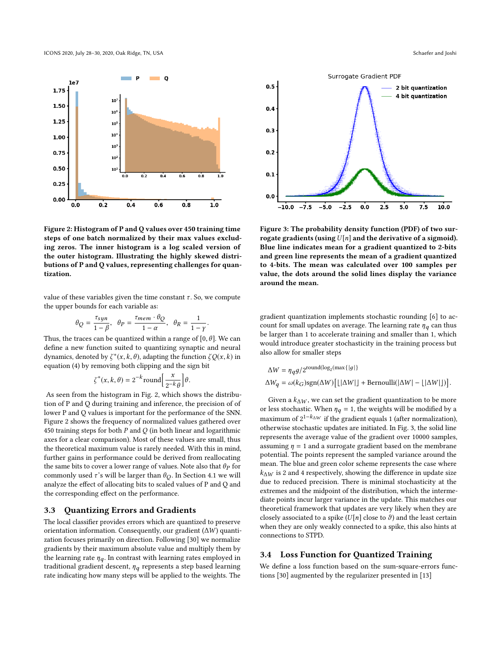<span id="page-3-0"></span>

Figure 2: Histogram of P and Q values over 450 training time steps of one batch normalized by their max values excluding zeros. The inner histogram is a log scaled version of the outer histogram. Illustrating the highly skewed distributions of P and Q values, representing challenges for quantization.

value of these variables given the time constant  $\tau$ . So, we compute the upper bounds for each variable as:

$$
\theta_Q = \frac{\tau_{syn}}{1 - \beta}, \quad \theta_P = \frac{\tau_{mem} \cdot \theta_Q}{1 - \alpha}, \quad \theta_R = \frac{1}{1 - \gamma}
$$

Thus, the traces can be quantized within a range of  $[0, \theta]$ . We can define a new function suited to quantizing sympatic and neural define a new function suited to quantizing synaptic and neural dynamics, denoted by  $\zeta^*(x, k, \theta)$ , adapting the function  $\zeta Q(x, k)$  in equation (4) by removing both climping and the sign bit equation [\(4\)](#page-1-4) by removing both clipping and the sign bit

$$
\zeta^*(x, k, \theta) = 2^{-k} \text{round}\left[\frac{x}{2^{-k}\theta}\right]\theta.
$$

As seen from the histogram in Fig. [2,](#page-3-0) which shows the distribu-<br>As seen from the histogram in Fig. 2, which shows the distribution of P and Q during training and inference, the precision of of lower P and Q values is important for the performance of the SNN. Figure [2](#page-3-0) shows the frequency of normalized values gathered over 450 training steps for both  $P$  and  $Q$  (in both linear and logarithmic axes for a clear comparison). Most of these values are small, thus the theoretical maximum value is rarely needed. With this in mind, further gains in performance could be derived from reallocating the same bits to cover a lower range of values. Note also that  $\theta_P$  for commonly used  $\tau$ 's will be larger than  $\theta$ <sub>O</sub>. In Section [4.1](#page-4-1) we will analyze the effect of allocating bits to scaled values of P and Q and the corresponding effect on the performance.

#### 3.3 Quantizing Errors and Gradients

The local classifier provides errors which are quantized to preserve orientation information. Consequently, our gradient (∆W) quantization focuses primarily on direction. Following [\[30\]](#page-7-16) we normalize gradients by their maximum absolute value and multiply them by the learning rate  $\eta_q$ . In contrast with learning rates employed in traditional gradient descent,  $\eta_q$  represents a step based learning rate indicating how many steps will be applied to the weights. The

<span id="page-3-1"></span>

Figure 3: The probability density function (PDF) of two surrogate gradients (using  $U[n]$  and the derivative of a sigmoid). Blue line indicates mean for a gradient quantized to 2-bits and green line represents the mean of a gradient quantized to 4-bits. The mean was calculated over 100 samples per value, the dots around the solid lines display the variance around the mean.

gradient quantization implements stochastic rounding [\[6\]](#page-7-29) to account for small updates on average. The learning rate  $\eta_q$  can thus be larger than 1 to accelerate training and smaller than 1, which would introduce greater stochasticity in the training process but also allow for smaller steps

$$
\Delta W = \eta_q g / 2^{\text{round}(\log_2(\max\{|g|\})}
$$
  

$$
\Delta W_q = \omega(k_G) \text{sgn}(\Delta W) [\lfloor |\Delta W| \rfloor + \text{Bernoulli}(|\Delta W| - \lfloor |\Delta W| \rfloor)].
$$

Given a  $k_{\Delta W}$ , we can set the gradient quantization to be more or less stochastic. When  $\eta_q = 1$ , the weights will be modified by a maximum of  $2^{1-k_{\Delta}w}$  if the gradient equals 1 (after normalization), otherwise stochastic updates are initiated. In Fig. [3,](#page-3-1) the solid line represents the average value of the gradient over 10000 samples, assuming  $\eta = 1$  and a surrogate gradient based on the membrane potential. The points represent the sampled variance around the mean. The blue and green color scheme represents the case where  $k_{\text{AW}}$  is 2 and 4 respectively, showing the difference in update size due to reduced precision. There is minimal stochasticity at the extremes and the midpoint of the distribution, which the intermediate points incur larger variance in the update. This matches our theoretical framework that updates are very likely when they are closely associated to a spike  $(U[n])$  close to  $\vartheta$ ) and the least certain when they are only weakly connected to a spike, this also hints at connections to STPD.

#### 3.4 Loss Function for Quantized Training

We define a loss function based on the sum-square-errors functions [\[30\]](#page-7-16) augmented by the regularizer presented in [\[13\]](#page-7-13)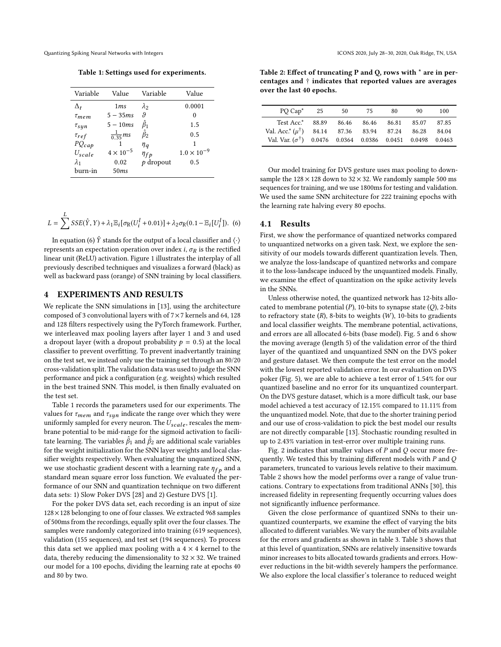<span id="page-4-2"></span>

Table 1: Settings used for experiments.

| Variable     | Value               | Variable        | Value                |
|--------------|---------------------|-----------------|----------------------|
| $\Delta_t$   | 1ms                 | $\lambda_2$     | 0.0001               |
| $\tau_{mem}$ | $5 - 35ms$          | θ               | 0                    |
| $\tau_{syn}$ | $5-10ms$            | $\hat{\beta}_1$ | 1.5                  |
| $\tau_{ref}$ | $\frac{1}{0.35}$ ms | $\hat{\beta}_2$ | 0.5                  |
| $PQ_{cap}$   |                     | $\eta_q$        | 1                    |
| $U_{scale}$  | $4 \times 10^{-5}$  | $\eta_{fp}$     | $1.0 \times 10^{-9}$ |
| $\lambda_1$  | 0.02                | $p$ dropout     | 0.5                  |
| burn-in      | 50ms                |                 |                      |
|              |                     |                 |                      |

$$
L = \sum_{i=1}^{L} \text{SSE}(\hat{Y}, Y) + \lambda_1 \mathbb{E}_i[\sigma_R(U_i^l + 0.01)] + \lambda_2 \sigma_R(0.1 - \mathbb{E}_i[U_i^l]).
$$
 (6)

In equation [\(6\)](#page-2-2)  $\hat{Y}$  stands for the output of a local classifier and  $\langle \cdot \rangle$ represents an expectation operation over index i,  $\sigma_R$  is the rectified linear unit (ReLU) activation. Figure [1](#page-2-0) illustrates the interplay of all previously described techniques and visualizes a forward (black) as well as backward pass (orange) of SNN training by local classifiers.

#### <span id="page-4-0"></span>4 EXPERIMENTS AND RESULTS

We replicate the SNN simulations in [\[13\]](#page-7-13), using the architecture composed of 3 convolutional layers with of 7×7 kernels and 64, 128 and 128 filters respectively using the PyTorch framework. Further, we interleaved max pooling layers after layer 1 and 3 and used a dropout layer (with a dropout probability  $p = 0.5$ ) at the local classifier to prevent overfitting. To prevent inadvertantly training on the test set, we instead only use the training set through an 80/20 cross-validation split. The validation data was used to judge the SNN performance and pick a configuration (e.g. weights) which resulted in the best trained SNN. This model, is then finally evaluated on the test set.

Table [1](#page-4-2) records the parameters used for our experiments. The values for  $\tau_{mem}$  and  $\tau_{syn}$  indicate the range over which they were uniformly sampled for every neuron. The  $U_{scale}$ , rescales the membrane potential to be mid-range for the sigmoid activation to facilitate learning. The variables  $\hat{\beta}_1$  and  $\hat{\beta}_2$  are additional scale variables for the weight initialization for the SNN layer weights and local classifier weights respectively. When evaluating the unquantized SNN, we use stochastic gradient descent with a learning rate  $\eta_{fp}$  and a standard mean square error loss function. We evaluated the performance of our SNN and quantization technique on two different data sets: 1) Slow Poker DVS [\[28\]](#page-7-30) and 2) Gesture DVS [\[1\]](#page-7-31).

For the poker DVS data set, each recording is an input of size 128×128 belonging to one of four classes. We extracted 968 samples of 500ms from the recordings, equally split over the four classes. The samples were randomly categorized into training (619 sequences), validation (155 sequences), and test set (194 sequences). To process this data set we applied max pooling with a  $4 \times 4$  kernel to the data, thereby reducing the dimensionality to  $32 \times 32$ . We trained our model for a 100 epochs, dividing the learning rate at epochs 40 and 80 by two.

<span id="page-4-3"></span>Table 2: Effect of truncating P and Q, rows with \* are in percentages and † indicates that reported values are averages over the last 40 epochs.

| Test Acc.*<br>88.89<br>86.46<br>86.46<br>86.81<br>85.07<br>Val. Acc.* $(\mu^{\dagger})$ 84.14 87.36 83.94 87.24<br>86.28 |  | 50 | 75 | 80 | 90 | 100    |
|--------------------------------------------------------------------------------------------------------------------------|--|----|----|----|----|--------|
|                                                                                                                          |  |    |    |    |    | 87.85  |
|                                                                                                                          |  |    |    |    |    | 84.04  |
| Val. Var. $(\sigma^{\dagger})$<br>$0.0476$ $0.0364$ $0.0386$ $0.0451$ $0.0498$                                           |  |    |    |    |    | 0.0463 |

Our model training for DVS gesture uses max pooling to downsample the  $128 \times 128$  down to  $32 \times 32$ . We randomly sample 500 ms sequences for training, and we use 1800ms for testing and validation. We used the same SNN architecture for 222 training epochs with the learning rate halving every 80 epochs.

#### <span id="page-4-1"></span>4.1 Results

First, we show the performance of quantized networks compared to unquantized networks on a given task. Next, we explore the sensitivity of our models towards different quantization levels. Then, we analyze the loss-landscape of quantized networks and compare it to the loss-landscape induced by the unquantized models. Finally, we examine the effect of quantization on the spike activity levels in the SNNs.

Unless otherwise noted, the quantized network has 12-bits allocated to membrane potential  $(P)$ , 10-bits to synapse state  $(Q)$ , 2-bits to refractory state  $(R)$ , 8-bits to weights  $(W)$ , 10-bits to gradients and local classifier weights. The membrane potential, activations, and errors are all allocated 6-bits (base model). Fig. [5](#page-6-1) and [6](#page-6-2) show the moving average (length 5) of the validation error of the third layer of the quantized and unquantized SNN on the DVS poker and gesture dataset. We then compute the test error on the model with the lowest reported validation error. In our evaluation on DVS poker (Fig. [5\)](#page-6-1), we are able to achieve a test error of 1.54% for our quantized baseline and no error for its unquantized counterpart. On the DVS gesture dataset, which is a more difficult task, our base model achieved a test accuracy of 12.15% compared to 11.11% from the unquantized model. Note, that due to the shorter training period and our use of cross-validation to pick the best model our results are not directly comparable [\[13\]](#page-7-13). Stochastic rounding resulted in up to 2.43% variation in test-error over multiple training runs.

Fig. [2](#page-3-0) indicates that smaller values of  $P$  and  $Q$  occur more frequently. We tested this by training different models with  $P$  and  $Q$ parameters, truncated to various levels relative to their maximum. Table [2](#page-4-3) shows how the model performs over a range of value truncations. Contrary to expectations from traditional ANNs [\[30\]](#page-7-16), this increased fidelity in representing frequently occurring values does not significantly influence performance.

Given the close performance of quantized SNNs to their unquantized counterparts, we examine the effect of varying the bits allocated to different variables. We vary the number of bits available for the errors and gradients as shown in table [3.](#page-6-3) Table [3](#page-6-3) shows that at this level of quantization, SNNs are relatively insensitive towards minor increases to bits allocated towards gradients and errors. However reductions in the bit-width severely hampers the performance. We also explore the local classifier's tolerance to reduced weight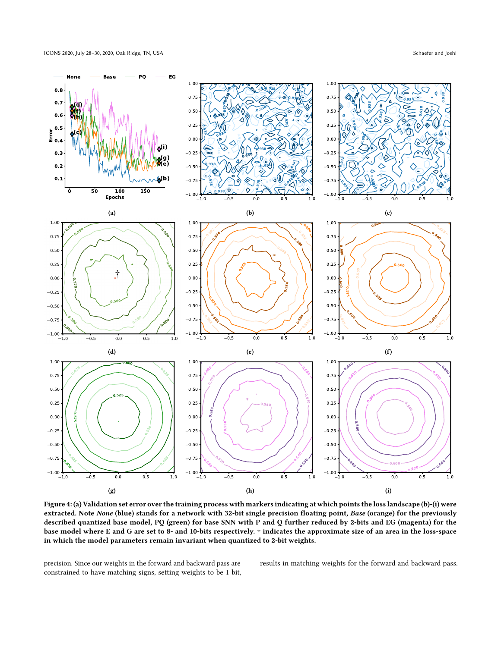<span id="page-5-0"></span>

Figure 4: (a) Validation set error over the training process with markers indicating at which points the loss landscape (b)-(i) were extracted. Note None (blue) stands for a network with 32-bit single precision floating point, Base (orange) for the previously described quantized base model, PQ (green) for base SNN with P and Q further reduced by 2-bits and EG (magenta) for the base model where E and G are set to 8- and 10-bits respectively. † indicates the approximate size of an area in the loss-space in which the model parameters remain invariant when quantized to 2-bit weights.

precision. Since our weights in the forward and backward pass are constrained to have matching signs, setting weights to be 1 bit, results in matching weights for the forward and backward pass.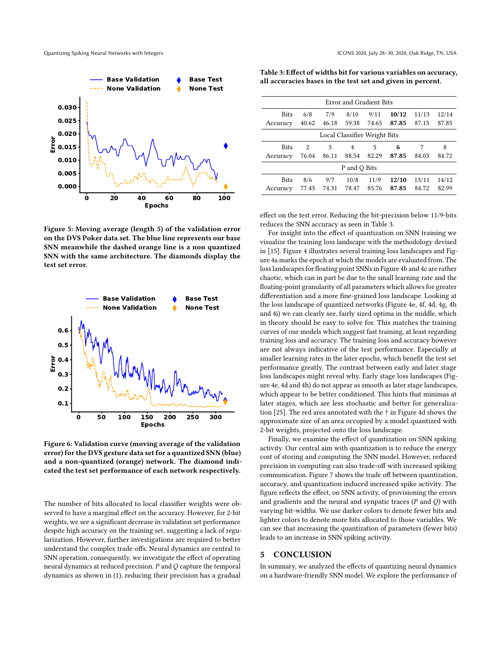Quantizing Spiking Neural Networks with Integers ICONS 2020, July 28–30, 2020, Oak Ridge, TN, USA

<span id="page-6-1"></span>

Figure 5: Moving average (length 5) of the validation error on the DVS Poker data set. The blue line represents our base SNN meanwhile the dashed orange line is a non quantized SNN with the same architecture. The diamonds display the test set error.

<span id="page-6-2"></span>

Figure 6: Validation curve (moving average of the validation error) for the DVS gesture data set for a quantized SNN (blue) and a non-quantized (orange) network. The diamond indicated the test set performance of each network respectively.

The number of bits allocated to local classifier weights were observed to have a marginal effect on the accuracy. However, for 2-bit weights, we see a significant decrease in validation set performance despite high accuracy on the training set, suggesting a lack of regularization. However, further investigations are required to better understand the complex trade-offs. Neural dynamics are central to SNN operation, consequently, we investigate the effect of operating neural dynamics at reduced precision.  $P$  and  $Q$  capture the temporal dynamics as shown in [\(1\)](#page-1-2), reducing their precision has a gradual

<span id="page-6-3"></span>Table 3: Effect of widths bit for various variables on accuracy, all accuracies bases in the test set and given in percent.

| Error and Gradient Bits      |       |       |       |       |       |       |       |
|------------------------------|-------|-------|-------|-------|-------|-------|-------|
| <b>Bits</b>                  | 6/8   | 7/9   | 8/10  | 9/11  | 10/12 | 11/13 | 12/14 |
| Accuracy                     | 40.62 | 46.18 | 59.38 | 74.65 | 87.85 | 87.15 | 87.85 |
| Local Classifier Weight Bits |       |       |       |       |       |       |       |
| <b>Bits</b>                  | 2     | 3     | 4     | 5     | 6     | 7     | 8     |
| Accuracy                     | 76.04 | 86.11 | 88.54 | 82.29 | 87.85 | 84.03 | 84.72 |
| P and Q Bits                 |       |       |       |       |       |       |       |
| <b>Bits</b>                  | 8/6   | 9/7   | 10/8  | 11/9  | 12/10 | 13/11 | 14/12 |
| Accuracy                     | 77.43 | 74.31 | 78.47 | 85.76 | 87.85 | 84.72 | 82.99 |
|                              |       |       |       |       |       |       |       |

effect on the test error. Reducing the bit-precision below 11/9-bits reduces the SNN accuracy as seen in Table [3.](#page-6-3)

For insight into the effect of quantization on SNN training we visualize the training loss landscape with the methodology devised in [\[15\]](#page-7-32). Figure [4](#page-5-0) illustrates several training loss landscapes and Figure [4a](#page-5-0) marks the epoch at which the models are evaluated from. The loss landscapes for floating point SNNs in Figure [4b](#page-5-0) and [4c](#page-5-0) are rather chaotic, which can in part be due to the small learning rate and the floating-point granularity of all parameters which allows for greater differentiation and a more fine-grained loss landscape. Looking at the loss landscape of quantized networks (Figure [4e, 4f, 4d, 4g, 4h](#page-5-0) and [4i\)](#page-5-0) we can clearly see, fairly sized optima in the middle, which in theory should be easy to solve for. This matches the training curves of our models which suggest fast training, at least regarding training loss and accuracy. The training loss and accuracy however are not always indicative of the test performance. Especially at smaller learning rates in the later epochs, which benefit the test set performance greatly. The contrast between early and later stage loss landscapes might reveal why. Early stage loss landscapes (Figure [4e, 4d](#page-5-0) and [4h\)](#page-5-0) do not appear as smooth as later stage landscapes, which appear to be better conditioned. This hints that minimas at later stages, which are less stochastic and better for generalization [\[25\]](#page-7-33). The red area annotated with the † in Figure [4d](#page-5-0) shows the approximate size of an area occupied by a model quantized with 2-bit weights, projected onto the loss landscape.

Finally, we examine the effect of quantization on SNN spiking activity. Our central aim with quantization is to reduce the energy cost of storing and computing the SNN model. However, reduced precision in computing can also trade-off with increased spiking communication. Figure [7](#page-7-34) shows the trade off between quantization, accuracy, and quantization induced increased spike activity. The figure reflects the effect, on SNN activity, of provisioning the errors and gradients and the neural and synpatic traces  $(P \text{ and } Q)$  with varying bit-widths. We use darker colors to denote fewer bits and lighter colors to denote more bits allocated to those variables. We can see that increasing the quantization of parameters (fewer bits) leads to an increase in SNN spiking activity.

#### <span id="page-6-0"></span>5 CONCLUSION

In summary, we analyzed the effects of quantizing neural dynamics on a hardware-friendly SNN model. We explore the performance of